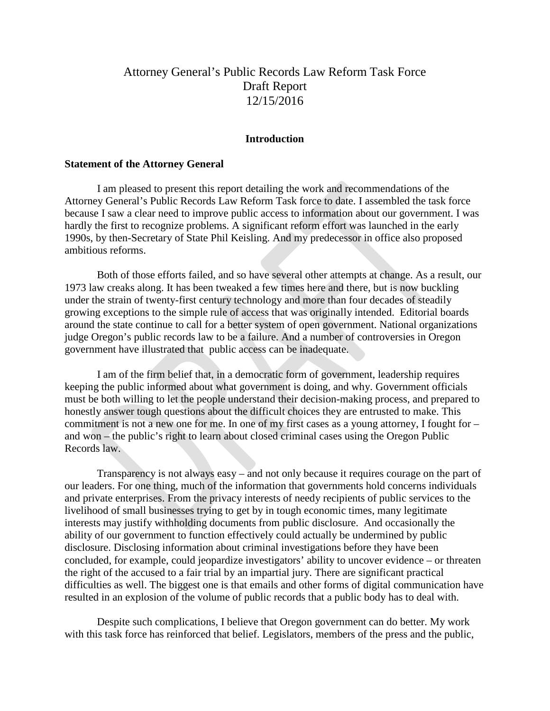# Attorney General's Public Records Law Reform Task Force Draft Report 12/15/2016

### **Introduction**

#### **Statement of the Attorney General**

 I am pleased to present this report detailing the work and recommendations of the Attorney General's Public Records Law Reform Task force to date. I assembled the task force because I saw a clear need to improve public access to information about our government. I was hardly the first to recognize problems. A significant reform effort was launched in the early 1990s, by then-Secretary of State Phil Keisling. And my predecessor in office also proposed ambitious reforms.

 Both of those efforts failed, and so have several other attempts at change. As a result, our 1973 law creaks along. It has been tweaked a few times here and there, but is now buckling under the strain of twenty-first century technology and more than four decades of steadily growing exceptions to the simple rule of access that was originally intended. Editorial boards around the state continue to call for a better system of open government. National organizations judge Oregon's public records law to be a failure. And a number of controversies in Oregon government have illustrated that public access can be inadequate.

 I am of the firm belief that, in a democratic form of government, leadership requires keeping the public informed about what government is doing, and why. Government officials must be both willing to let the people understand their decision-making process, and prepared to honestly answer tough questions about the difficult choices they are entrusted to make. This commitment is not a new one for me. In one of my first cases as a young attorney, I fought for – and won – the public's right to learn about closed criminal cases using the Oregon Public Records law.

 Transparency is not always easy – and not only because it requires courage on the part of our leaders. For one thing, much of the information that governments hold concerns individuals and private enterprises. From the privacy interests of needy recipients of public services to the livelihood of small businesses trying to get by in tough economic times, many legitimate interests may justify withholding documents from public disclosure. And occasionally the ability of our government to function effectively could actually be undermined by public disclosure. Disclosing information about criminal investigations before they have been concluded, for example, could jeopardize investigators' ability to uncover evidence – or threaten the right of the accused to a fair trial by an impartial jury. There are significant practical difficulties as well. The biggest one is that emails and other forms of digital communication have resulted in an explosion of the volume of public records that a public body has to deal with.

 Despite such complications, I believe that Oregon government can do better. My work with this task force has reinforced that belief. Legislators, members of the press and the public,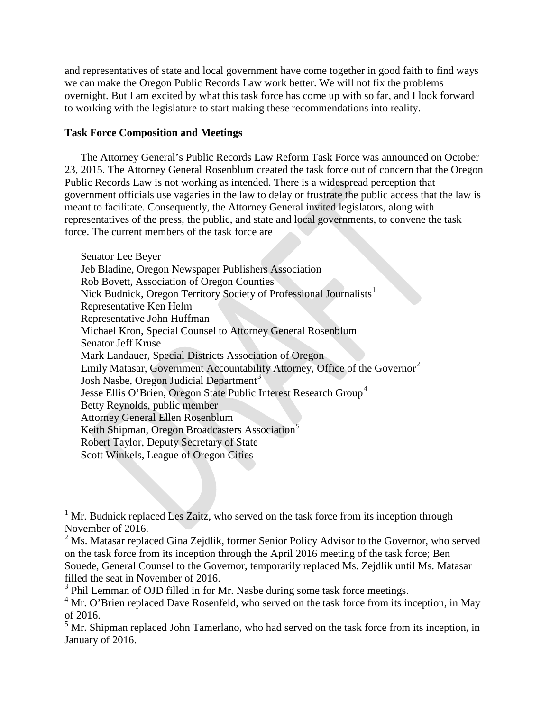and representatives of state and local government have come together in good faith to find ways we can make the Oregon Public Records Law work better. We will not fix the problems overnight. But I am excited by what this task force has come up with so far, and I look forward to working with the legislature to start making these recommendations into reality.

### **Task Force Composition and Meetings**

The Attorney General's Public Records Law Reform Task Force was announced on October 23, 2015. The Attorney General Rosenblum created the task force out of concern that the Oregon Public Records Law is not working as intended. There is a widespread perception that government officials use vagaries in the law to delay or frustrate the public access that the law is meant to facilitate. Consequently, the Attorney General invited legislators, along with representatives of the press, the public, and state and local governments, to convene the task force. The current members of the task force are

Senator Lee Beyer Jeb Bladine, Oregon Newspaper Publishers Association Rob Bovett, Association of Oregon Counties Nick Budnick, Oregon Territory Society of Professional Journalists<sup>[1](#page-1-0)</sup> Representative Ken Helm Representative John Huffman Michael Kron, Special Counsel to Attorney General Rosenblum Senator Jeff Kruse Mark Landauer, Special Districts Association of Oregon Emily Matasar, Government Accountability Attorney, Office of the Governor<sup>[2](#page-1-1)</sup> Josh Nasbe, Oregon Judicial Department<sup>[3](#page-1-2)</sup> Jesse Ellis O'Brien, Oregon State Public Interest Research Group<sup>[4](#page-1-3)</sup> Betty Reynolds, public member Attorney General Ellen Rosenblum Keith Shipman, Oregon Broadcasters Association<sup>[5](#page-1-4)</sup> Robert Taylor, Deputy Secretary of State Scott Winkels, League of Oregon Cities

<span id="page-1-0"></span> $1$  Mr. Budnick replaced Les Zaitz, who served on the task force from its inception through November of 2016.

<span id="page-1-1"></span><sup>&</sup>lt;sup>2</sup> Ms. Matasar replaced Gina Zejdlik, former Senior Policy Advisor to the Governor, who served on the task force from its inception through the April 2016 meeting of the task force; Ben Souede, General Counsel to the Governor, temporarily replaced Ms. Zejdlik until Ms. Matasar

<span id="page-1-2"></span> $\frac{3}{3}$  Phil Lemman of OJD filled in for Mr. Nasbe during some task force meetings.

<span id="page-1-3"></span><sup>&</sup>lt;sup>4</sup> Mr. O'Brien replaced Dave Rosenfeld, who served on the task force from its inception, in May of 2016.

<span id="page-1-4"></span><sup>&</sup>lt;sup>5</sup> Mr. Shipman replaced John Tamerlano, who had served on the task force from its inception, in January of 2016.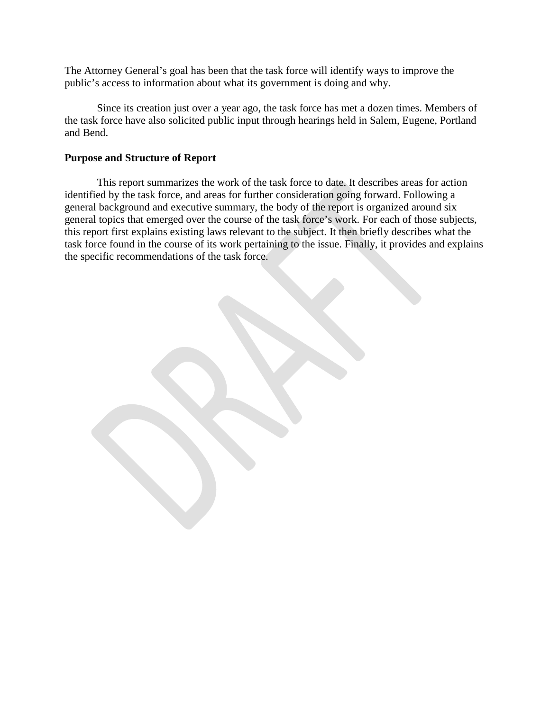The Attorney General's goal has been that the task force will identify ways to improve the public's access to information about what its government is doing and why.

Since its creation just over a year ago, the task force has met a dozen times. Members of the task force have also solicited public input through hearings held in Salem, Eugene, Portland and Bend.

### **Purpose and Structure of Report**

This report summarizes the work of the task force to date. It describes areas for action identified by the task force, and areas for further consideration going forward. Following a general background and executive summary, the body of the report is organized around six general topics that emerged over the course of the task force's work. For each of those subjects, this report first explains existing laws relevant to the subject. It then briefly describes what the task force found in the course of its work pertaining to the issue. Finally, it provides and explains the specific recommendations of the task force.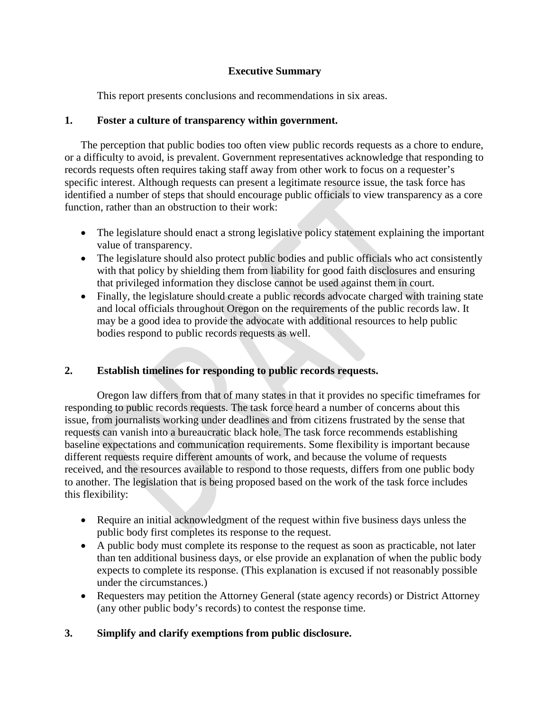# **Executive Summary**

This report presents conclusions and recommendations in six areas.

# **1. Foster a culture of transparency within government.**

The perception that public bodies too often view public records requests as a chore to endure, or a difficulty to avoid, is prevalent. Government representatives acknowledge that responding to records requests often requires taking staff away from other work to focus on a requester's specific interest. Although requests can present a legitimate resource issue, the task force has identified a number of steps that should encourage public officials to view transparency as a core function, rather than an obstruction to their work:

- The legislature should enact a strong legislative policy statement explaining the important value of transparency.
- The legislature should also protect public bodies and public officials who act consistently with that policy by shielding them from liability for good faith disclosures and ensuring that privileged information they disclose cannot be used against them in court.
- Finally, the legislature should create a public records advocate charged with training state and local officials throughout Oregon on the requirements of the public records law. It may be a good idea to provide the advocate with additional resources to help public bodies respond to public records requests as well.

# **2. Establish timelines for responding to public records requests.**

Oregon law differs from that of many states in that it provides no specific timeframes for responding to public records requests. The task force heard a number of concerns about this issue, from journalists working under deadlines and from citizens frustrated by the sense that requests can vanish into a bureaucratic black hole. The task force recommends establishing baseline expectations and communication requirements. Some flexibility is important because different requests require different amounts of work, and because the volume of requests received, and the resources available to respond to those requests, differs from one public body to another. The legislation that is being proposed based on the work of the task force includes this flexibility:

- Require an initial acknowledgment of the request within five business days unless the public body first completes its response to the request.
- A public body must complete its response to the request as soon as practicable, not later than ten additional business days, or else provide an explanation of when the public body expects to complete its response. (This explanation is excused if not reasonably possible under the circumstances.)
- Requesters may petition the Attorney General (state agency records) or District Attorney (any other public body's records) to contest the response time.

# **3. Simplify and clarify exemptions from public disclosure.**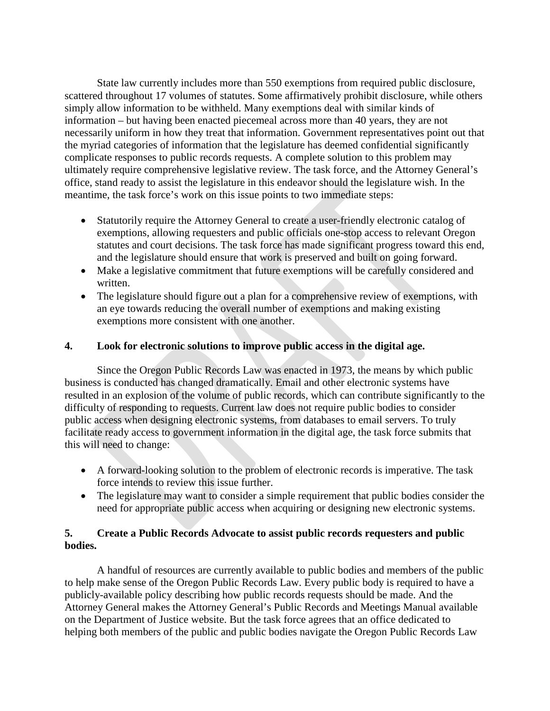State law currently includes more than 550 exemptions from required public disclosure, scattered throughout 17 volumes of statutes. Some affirmatively prohibit disclosure, while others simply allow information to be withheld. Many exemptions deal with similar kinds of information – but having been enacted piecemeal across more than 40 years, they are not necessarily uniform in how they treat that information. Government representatives point out that the myriad categories of information that the legislature has deemed confidential significantly complicate responses to public records requests. A complete solution to this problem may ultimately require comprehensive legislative review. The task force, and the Attorney General's office, stand ready to assist the legislature in this endeavor should the legislature wish. In the meantime, the task force's work on this issue points to two immediate steps:

- Statutorily require the Attorney General to create a user-friendly electronic catalog of exemptions, allowing requesters and public officials one-stop access to relevant Oregon statutes and court decisions. The task force has made significant progress toward this end, and the legislature should ensure that work is preserved and built on going forward.
- Make a legislative commitment that future exemptions will be carefully considered and written.
- The legislature should figure out a plan for a comprehensive review of exemptions, with an eye towards reducing the overall number of exemptions and making existing exemptions more consistent with one another.

# **4. Look for electronic solutions to improve public access in the digital age.**

Since the Oregon Public Records Law was enacted in 1973, the means by which public business is conducted has changed dramatically. Email and other electronic systems have resulted in an explosion of the volume of public records, which can contribute significantly to the difficulty of responding to requests. Current law does not require public bodies to consider public access when designing electronic systems, from databases to email servers. To truly facilitate ready access to government information in the digital age, the task force submits that this will need to change:

- A forward-looking solution to the problem of electronic records is imperative. The task force intends to review this issue further.
- The legislature may want to consider a simple requirement that public bodies consider the need for appropriate public access when acquiring or designing new electronic systems.

# **5. Create a Public Records Advocate to assist public records requesters and public bodies.**

A handful of resources are currently available to public bodies and members of the public to help make sense of the Oregon Public Records Law. Every public body is required to have a publicly-available policy describing how public records requests should be made. And the Attorney General makes the Attorney General's Public Records and Meetings Manual available on the Department of Justice website. But the task force agrees that an office dedicated to helping both members of the public and public bodies navigate the Oregon Public Records Law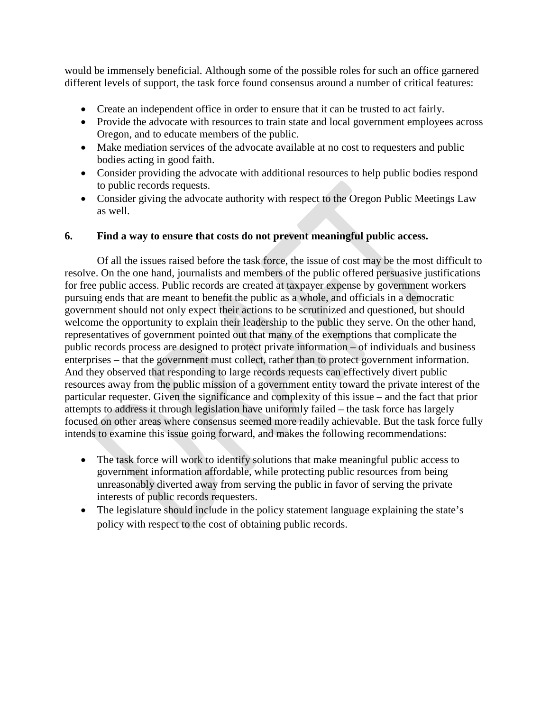would be immensely beneficial. Although some of the possible roles for such an office garnered different levels of support, the task force found consensus around a number of critical features:

- Create an independent office in order to ensure that it can be trusted to act fairly.
- Provide the advocate with resources to train state and local government employees across Oregon, and to educate members of the public.
- Make mediation services of the advocate available at no cost to requesters and public bodies acting in good faith.
- Consider providing the advocate with additional resources to help public bodies respond to public records requests.
- Consider giving the advocate authority with respect to the Oregon Public Meetings Law as well.

### **6. Find a way to ensure that costs do not prevent meaningful public access.**

Of all the issues raised before the task force, the issue of cost may be the most difficult to resolve. On the one hand, journalists and members of the public offered persuasive justifications for free public access. Public records are created at taxpayer expense by government workers pursuing ends that are meant to benefit the public as a whole, and officials in a democratic government should not only expect their actions to be scrutinized and questioned, but should welcome the opportunity to explain their leadership to the public they serve. On the other hand, representatives of government pointed out that many of the exemptions that complicate the public records process are designed to protect private information – of individuals and business enterprises – that the government must collect, rather than to protect government information. And they observed that responding to large records requests can effectively divert public resources away from the public mission of a government entity toward the private interest of the particular requester. Given the significance and complexity of this issue – and the fact that prior attempts to address it through legislation have uniformly failed – the task force has largely focused on other areas where consensus seemed more readily achievable. But the task force fully intends to examine this issue going forward, and makes the following recommendations:

- The task force will work to identify solutions that make meaningful public access to government information affordable, while protecting public resources from being unreasonably diverted away from serving the public in favor of serving the private interests of public records requesters.
- The legislature should include in the policy statement language explaining the state's policy with respect to the cost of obtaining public records.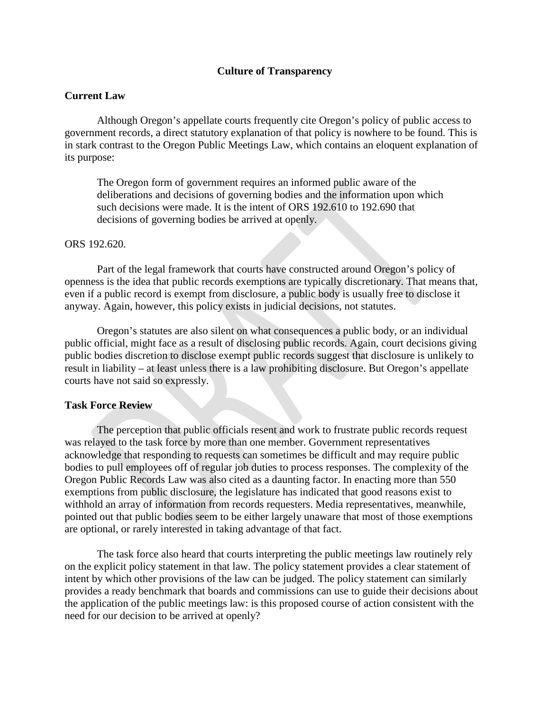#### **Culture of Transparency**

#### **Current Law**

Although Oregon's appellate courts frequently cite Oregon's policy of public access to government records, a direct statutory explanation of that policy is nowhere to be found. This is in stark contrast to the Oregon Public Meetings Law, which contains an eloquent explanation of its purpose:

The Oregon form of government requires an informed public aware of the deliberations and decisions of governing bodies and the information upon which such decisions were made. It is the intent of ORS 192.610 to 192.690 that decisions of governing bodies be arrived at openly.

#### ORS 192.620.

Part of the legal framework that courts have constructed around Oregon's policy of openness is the idea that public records exemptions are typically discretionary. That means that, even if a public record is exempt from disclosure, a public body is usually free to disclose it anyway. Again, however, this policy exists in judicial decisions, not statutes.

Oregon's statutes are also silent on what consequences a public body, or an individual public official, might face as a result of disclosing public records. Again, court decisions giving public bodies discretion to disclose exempt public records suggest that disclosure is unlikely to result in liability – at least unless there is a law prohibiting disclosure. But Oregon's appellate courts have not said so expressly.

#### **Task Force Review**

The perception that public officials resent and work to frustrate public records request was relayed to the task force by more than one member. Government representatives acknowledge that responding to requests can sometimes be difficult and may require public bodies to pull employees off of regular job duties to process responses. The complexity of the Oregon Public Records Law was also cited as a daunting factor. In enacting more than 550 exemptions from public disclosure, the legislature has indicated that good reasons exist to withhold an array of information from records requesters. Media representatives, meanwhile, pointed out that public bodies seem to be either largely unaware that most of those exemptions are optional, or rarely interested in taking advantage of that fact.

The task force also heard that courts interpreting the public meetings law routinely rely on the explicit policy statement in that law. The policy statement provides a clear statement of intent by which other provisions of the law can be judged. The policy statement can similarly provides a ready benchmark that boards and commissions can use to guide their decisions about the application of the public meetings law: is this proposed course of action consistent with the need for our decision to be arrived at openly?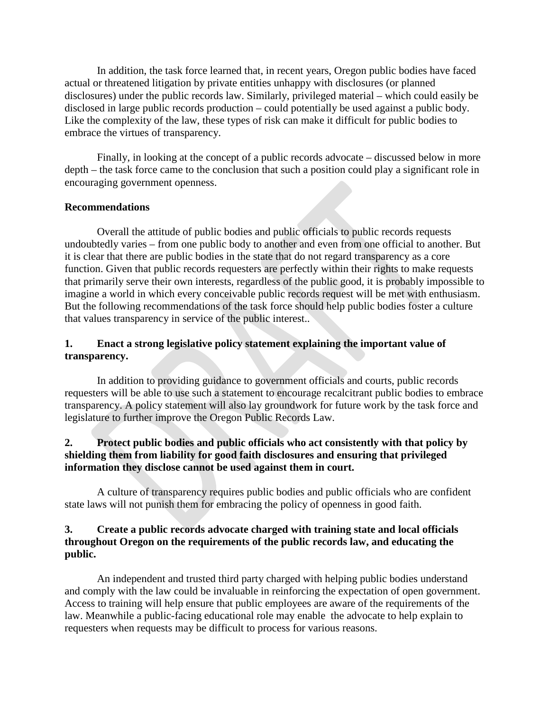In addition, the task force learned that, in recent years, Oregon public bodies have faced actual or threatened litigation by private entities unhappy with disclosures (or planned disclosures) under the public records law. Similarly, privileged material – which could easily be disclosed in large public records production – could potentially be used against a public body. Like the complexity of the law, these types of risk can make it difficult for public bodies to embrace the virtues of transparency.

Finally, in looking at the concept of a public records advocate – discussed below in more depth – the task force came to the conclusion that such a position could play a significant role in encouraging government openness.

### **Recommendations**

Overall the attitude of public bodies and public officials to public records requests undoubtedly varies – from one public body to another and even from one official to another. But it is clear that there are public bodies in the state that do not regard transparency as a core function. Given that public records requesters are perfectly within their rights to make requests that primarily serve their own interests, regardless of the public good, it is probably impossible to imagine a world in which every conceivable public records request will be met with enthusiasm. But the following recommendations of the task force should help public bodies foster a culture that values transparency in service of the public interest..

# **1. Enact a strong legislative policy statement explaining the important value of transparency.**

In addition to providing guidance to government officials and courts, public records requesters will be able to use such a statement to encourage recalcitrant public bodies to embrace transparency. A policy statement will also lay groundwork for future work by the task force and legislature to further improve the Oregon Public Records Law.

# **2. Protect public bodies and public officials who act consistently with that policy by shielding them from liability for good faith disclosures and ensuring that privileged information they disclose cannot be used against them in court.**

A culture of transparency requires public bodies and public officials who are confident state laws will not punish them for embracing the policy of openness in good faith.

### **3. Create a public records advocate charged with training state and local officials throughout Oregon on the requirements of the public records law, and educating the public.**

An independent and trusted third party charged with helping public bodies understand and comply with the law could be invaluable in reinforcing the expectation of open government. Access to training will help ensure that public employees are aware of the requirements of the law. Meanwhile a public-facing educational role may enable the advocate to help explain to requesters when requests may be difficult to process for various reasons.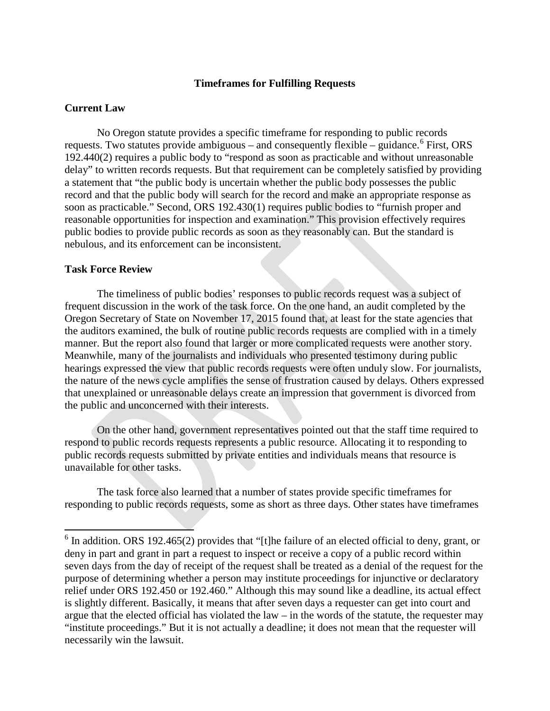#### **Timeframes for Fulfilling Requests**

#### **Current Law**

No Oregon statute provides a specific timeframe for responding to public records requests. Two statutes provide ambiguous – and consequently flexible – guidance.<sup>[6](#page-8-0)</sup> First, ORS 192.440(2) requires a public body to "respond as soon as practicable and without unreasonable delay" to written records requests. But that requirement can be completely satisfied by providing a statement that "the public body is uncertain whether the public body possesses the public record and that the public body will search for the record and make an appropriate response as soon as practicable." Second, ORS 192.430(1) requires public bodies to "furnish proper and reasonable opportunities for inspection and examination." This provision effectively requires public bodies to provide public records as soon as they reasonably can. But the standard is nebulous, and its enforcement can be inconsistent.

#### **Task Force Review**

The timeliness of public bodies' responses to public records request was a subject of frequent discussion in the work of the task force. On the one hand, an audit completed by the Oregon Secretary of State on November 17, 2015 found that, at least for the state agencies that the auditors examined, the bulk of routine public records requests are complied with in a timely manner. But the report also found that larger or more complicated requests were another story. Meanwhile, many of the journalists and individuals who presented testimony during public hearings expressed the view that public records requests were often unduly slow. For journalists, the nature of the news cycle amplifies the sense of frustration caused by delays. Others expressed that unexplained or unreasonable delays create an impression that government is divorced from the public and unconcerned with their interests.

On the other hand, government representatives pointed out that the staff time required to respond to public records requests represents a public resource. Allocating it to responding to public records requests submitted by private entities and individuals means that resource is unavailable for other tasks.

The task force also learned that a number of states provide specific timeframes for responding to public records requests, some as short as three days. Other states have timeframes

<span id="page-8-0"></span><sup>&</sup>lt;sup>6</sup> In addition. ORS 192.465(2) provides that "[t]he failure of an elected official to deny, grant, or deny in part and grant in part a request to inspect or receive a copy of a public record within seven days from the day of receipt of the request shall be treated as a denial of the request for the purpose of determining whether a person may institute proceedings for injunctive or declaratory relief under ORS 192.450 or 192.460." Although this may sound like a deadline, its actual effect is slightly different. Basically, it means that after seven days a requester can get into court and argue that the elected official has violated the law – in the words of the statute, the requester may "institute proceedings." But it is not actually a deadline; it does not mean that the requester will necessarily win the lawsuit.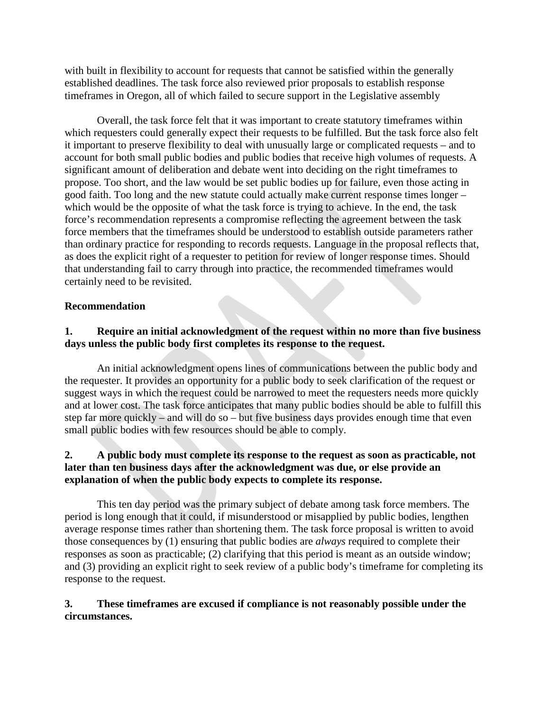with built in flexibility to account for requests that cannot be satisfied within the generally established deadlines. The task force also reviewed prior proposals to establish response timeframes in Oregon, all of which failed to secure support in the Legislative assembly

Overall, the task force felt that it was important to create statutory timeframes within which requesters could generally expect their requests to be fulfilled. But the task force also felt it important to preserve flexibility to deal with unusually large or complicated requests – and to account for both small public bodies and public bodies that receive high volumes of requests. A significant amount of deliberation and debate went into deciding on the right timeframes to propose. Too short, and the law would be set public bodies up for failure, even those acting in good faith. Too long and the new statute could actually make current response times longer – which would be the opposite of what the task force is trying to achieve. In the end, the task force's recommendation represents a compromise reflecting the agreement between the task force members that the timeframes should be understood to establish outside parameters rather than ordinary practice for responding to records requests. Language in the proposal reflects that, as does the explicit right of a requester to petition for review of longer response times. Should that understanding fail to carry through into practice, the recommended timeframes would certainly need to be revisited.

# **Recommendation**

# **1. Require an initial acknowledgment of the request within no more than five business days unless the public body first completes its response to the request.**

An initial acknowledgment opens lines of communications between the public body and the requester. It provides an opportunity for a public body to seek clarification of the request or suggest ways in which the request could be narrowed to meet the requesters needs more quickly and at lower cost. The task force anticipates that many public bodies should be able to fulfill this step far more quickly – and will do so – but five business days provides enough time that even small public bodies with few resources should be able to comply.

### **2. A public body must complete its response to the request as soon as practicable, not later than ten business days after the acknowledgment was due, or else provide an explanation of when the public body expects to complete its response.**

This ten day period was the primary subject of debate among task force members. The period is long enough that it could, if misunderstood or misapplied by public bodies, lengthen average response times rather than shortening them. The task force proposal is written to avoid those consequences by (1) ensuring that public bodies are *always* required to complete their responses as soon as practicable; (2) clarifying that this period is meant as an outside window; and (3) providing an explicit right to seek review of a public body's timeframe for completing its response to the request.

# **3. These timeframes are excused if compliance is not reasonably possible under the circumstances.**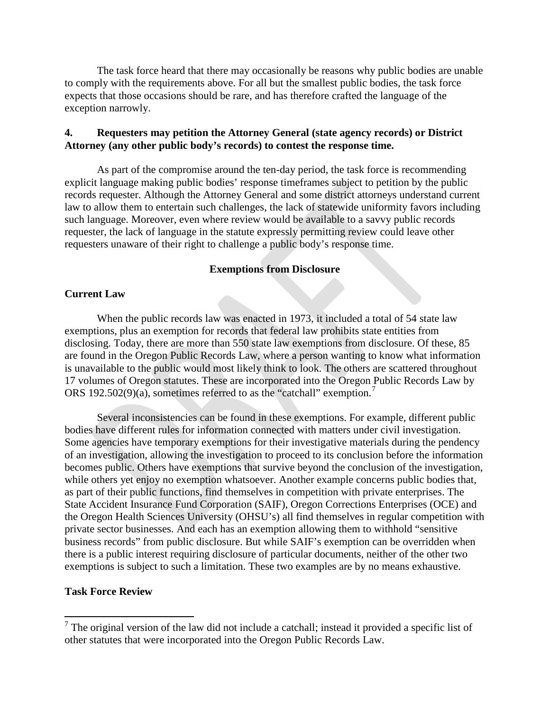The task force heard that there may occasionally be reasons why public bodies are unable to comply with the requirements above. For all but the smallest public bodies, the task force expects that those occasions should be rare, and has therefore crafted the language of the exception narrowly.

### **4. Requesters may petition the Attorney General (state agency records) or District Attorney (any other public body's records) to contest the response time.**

As part of the compromise around the ten-day period, the task force is recommending explicit language making public bodies' response timeframes subject to petition by the public records requester. Although the Attorney General and some district attorneys understand current law to allow them to entertain such challenges, the lack of statewide uniformity favors including such language. Moreover, even where review would be available to a savvy public records requester, the lack of language in the statute expressly permitting review could leave other requesters unaware of their right to challenge a public body's response time.

#### **Exemptions from Disclosure**

#### **Current Law**

When the public records law was enacted in 1973, it included a total of 54 state law exemptions, plus an exemption for records that federal law prohibits state entities from disclosing. Today, there are more than 550 state law exemptions from disclosure. Of these, 85 are found in the Oregon Public Records Law, where a person wanting to know what information is unavailable to the public would most likely think to look. The others are scattered throughout 17 volumes of Oregon statutes. These are incorporated into the Oregon Public Records Law by ORS 192.502(9)(a), sometimes referred to as the "catchall" exemption.<sup>[7](#page-10-0)</sup>

Several inconsistencies can be found in these exemptions. For example, different public bodies have different rules for information connected with matters under civil investigation. Some agencies have temporary exemptions for their investigative materials during the pendency of an investigation, allowing the investigation to proceed to its conclusion before the information becomes public. Others have exemptions that survive beyond the conclusion of the investigation, while others yet enjoy no exemption whatsoever. Another example concerns public bodies that, as part of their public functions, find themselves in competition with private enterprises. The State Accident Insurance Fund Corporation (SAIF), Oregon Corrections Enterprises (OCE) and the Oregon Health Sciences University (OHSU's) all find themselves in regular competition with private sector businesses. And each has an exemption allowing them to withhold "sensitive business records" from public disclosure. But while SAIF's exemption can be overridden when there is a public interest requiring disclosure of particular documents, neither of the other two exemptions is subject to such a limitation. These two examples are by no means exhaustive.

#### **Task Force Review**

<span id="page-10-0"></span> $<sup>7</sup>$  The original version of the law did not include a catchall; instead it provided a specific list of</sup> other statutes that were incorporated into the Oregon Public Records Law.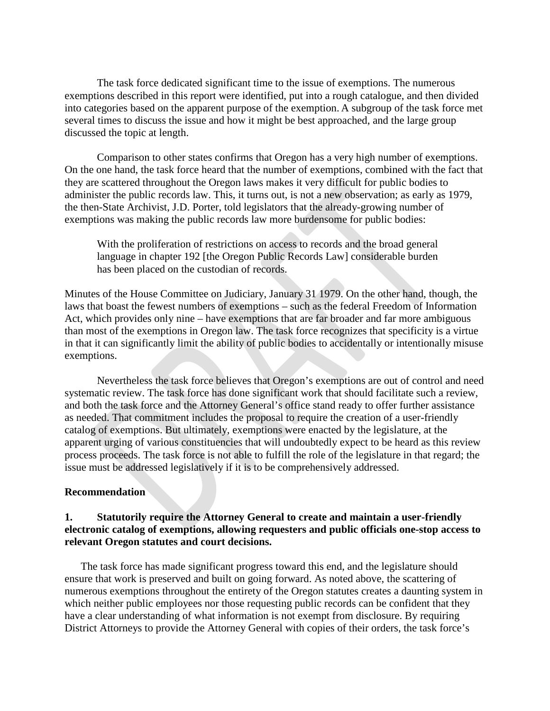The task force dedicated significant time to the issue of exemptions. The numerous exemptions described in this report were identified, put into a rough catalogue, and then divided into categories based on the apparent purpose of the exemption. A subgroup of the task force met several times to discuss the issue and how it might be best approached, and the large group discussed the topic at length.

Comparison to other states confirms that Oregon has a very high number of exemptions. On the one hand, the task force heard that the number of exemptions, combined with the fact that they are scattered throughout the Oregon laws makes it very difficult for public bodies to administer the public records law. This, it turns out, is not a new observation; as early as 1979, the then-State Archivist, J.D. Porter, told legislators that the already-growing number of exemptions was making the public records law more burdensome for public bodies:

With the proliferation of restrictions on access to records and the broad general language in chapter 192 [the Oregon Public Records Law] considerable burden has been placed on the custodian of records.

Minutes of the House Committee on Judiciary, January 31 1979. On the other hand, though, the laws that boast the fewest numbers of exemptions – such as the federal Freedom of Information Act, which provides only nine – have exemptions that are far broader and far more ambiguous than most of the exemptions in Oregon law. The task force recognizes that specificity is a virtue in that it can significantly limit the ability of public bodies to accidentally or intentionally misuse exemptions.

Nevertheless the task force believes that Oregon's exemptions are out of control and need systematic review. The task force has done significant work that should facilitate such a review, and both the task force and the Attorney General's office stand ready to offer further assistance as needed. That commitment includes the proposal to require the creation of a user-friendly catalog of exemptions. But ultimately, exemptions were enacted by the legislature, at the apparent urging of various constituencies that will undoubtedly expect to be heard as this review process proceeds. The task force is not able to fulfill the role of the legislature in that regard; the issue must be addressed legislatively if it is to be comprehensively addressed.

#### **Recommendation**

### **1. Statutorily require the Attorney General to create and maintain a user-friendly electronic catalog of exemptions, allowing requesters and public officials one-stop access to relevant Oregon statutes and court decisions.**

The task force has made significant progress toward this end, and the legislature should ensure that work is preserved and built on going forward. As noted above, the scattering of numerous exemptions throughout the entirety of the Oregon statutes creates a daunting system in which neither public employees nor those requesting public records can be confident that they have a clear understanding of what information is not exempt from disclosure. By requiring District Attorneys to provide the Attorney General with copies of their orders, the task force's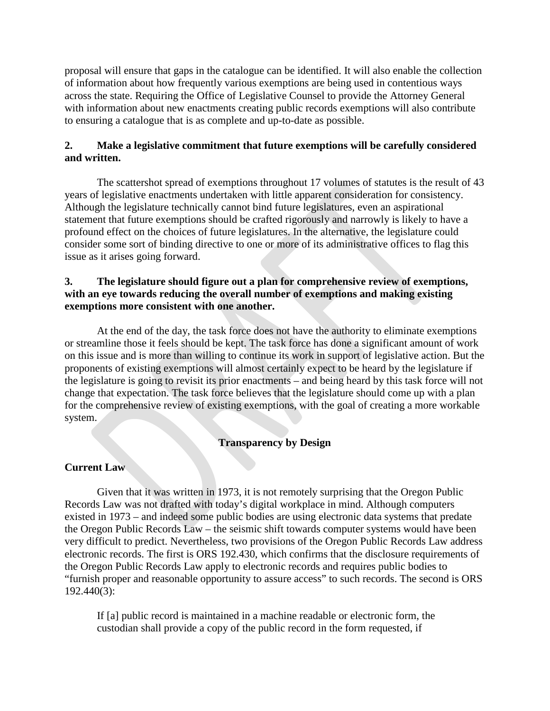proposal will ensure that gaps in the catalogue can be identified. It will also enable the collection of information about how frequently various exemptions are being used in contentious ways across the state. Requiring the Office of Legislative Counsel to provide the Attorney General with information about new enactments creating public records exemptions will also contribute to ensuring a catalogue that is as complete and up-to-date as possible.

## **2. Make a legislative commitment that future exemptions will be carefully considered and written.**

The scattershot spread of exemptions throughout 17 volumes of statutes is the result of 43 years of legislative enactments undertaken with little apparent consideration for consistency. Although the legislature technically cannot bind future legislatures, even an aspirational statement that future exemptions should be crafted rigorously and narrowly is likely to have a profound effect on the choices of future legislatures. In the alternative, the legislature could consider some sort of binding directive to one or more of its administrative offices to flag this issue as it arises going forward.

### **3. The legislature should figure out a plan for comprehensive review of exemptions, with an eye towards reducing the overall number of exemptions and making existing exemptions more consistent with one another.**

At the end of the day, the task force does not have the authority to eliminate exemptions or streamline those it feels should be kept. The task force has done a significant amount of work on this issue and is more than willing to continue its work in support of legislative action. But the proponents of existing exemptions will almost certainly expect to be heard by the legislature if the legislature is going to revisit its prior enactments – and being heard by this task force will not change that expectation. The task force believes that the legislature should come up with a plan for the comprehensive review of existing exemptions, with the goal of creating a more workable system.

# **Transparency by Design**

# **Current Law**

Given that it was written in 1973, it is not remotely surprising that the Oregon Public Records Law was not drafted with today's digital workplace in mind. Although computers existed in 1973 – and indeed some public bodies are using electronic data systems that predate the Oregon Public Records Law – the seismic shift towards computer systems would have been very difficult to predict. Nevertheless, two provisions of the Oregon Public Records Law address electronic records. The first is ORS 192.430, which confirms that the disclosure requirements of the Oregon Public Records Law apply to electronic records and requires public bodies to "furnish proper and reasonable opportunity to assure access" to such records. The second is ORS 192.440(3):

If [a] public record is maintained in a machine readable or electronic form, the custodian shall provide a copy of the public record in the form requested, if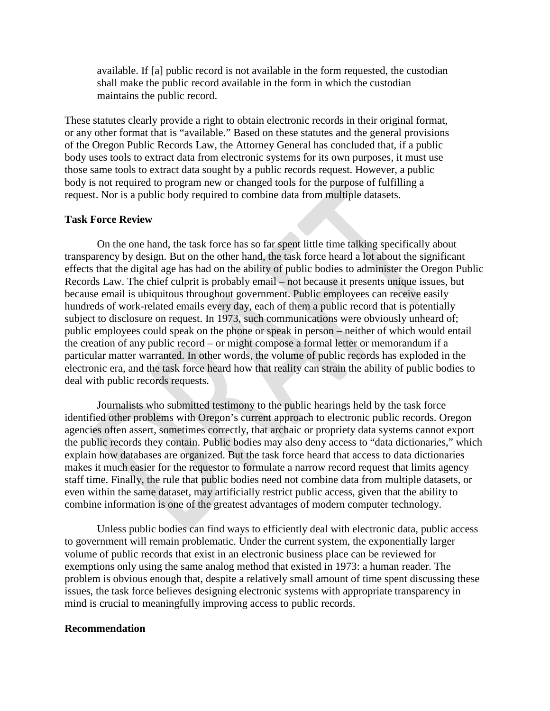available. If [a] public record is not available in the form requested, the custodian shall make the public record available in the form in which the custodian maintains the public record.

These statutes clearly provide a right to obtain electronic records in their original format, or any other format that is "available." Based on these statutes and the general provisions of the Oregon Public Records Law, the Attorney General has concluded that, if a public body uses tools to extract data from electronic systems for its own purposes, it must use those same tools to extract data sought by a public records request. However, a public body is not required to program new or changed tools for the purpose of fulfilling a request. Nor is a public body required to combine data from multiple datasets.

#### **Task Force Review**

On the one hand, the task force has so far spent little time talking specifically about transparency by design. But on the other hand, the task force heard a lot about the significant effects that the digital age has had on the ability of public bodies to administer the Oregon Public Records Law. The chief culprit is probably email – not because it presents unique issues, but because email is ubiquitous throughout government. Public employees can receive easily hundreds of work-related emails every day, each of them a public record that is potentially subject to disclosure on request. In 1973, such communications were obviously unheard of; public employees could speak on the phone or speak in person – neither of which would entail the creation of any public record – or might compose a formal letter or memorandum if a particular matter warranted. In other words, the volume of public records has exploded in the electronic era, and the task force heard how that reality can strain the ability of public bodies to deal with public records requests.

 Journalists who submitted testimony to the public hearings held by the task force identified other problems with Oregon's current approach to electronic public records. Oregon agencies often assert, sometimes correctly, that archaic or propriety data systems cannot export the public records they contain. Public bodies may also deny access to "data dictionaries," which explain how databases are organized. But the task force heard that access to data dictionaries makes it much easier for the requestor to formulate a narrow record request that limits agency staff time. Finally, the rule that public bodies need not combine data from multiple datasets, or even within the same dataset, may artificially restrict public access, given that the ability to combine information is one of the greatest advantages of modern computer technology.

Unless public bodies can find ways to efficiently deal with electronic data, public access to government will remain problematic. Under the current system, the exponentially larger volume of public records that exist in an electronic business place can be reviewed for exemptions only using the same analog method that existed in 1973: a human reader. The problem is obvious enough that, despite a relatively small amount of time spent discussing these issues, the task force believes designing electronic systems with appropriate transparency in mind is crucial to meaningfully improving access to public records.

#### **Recommendation**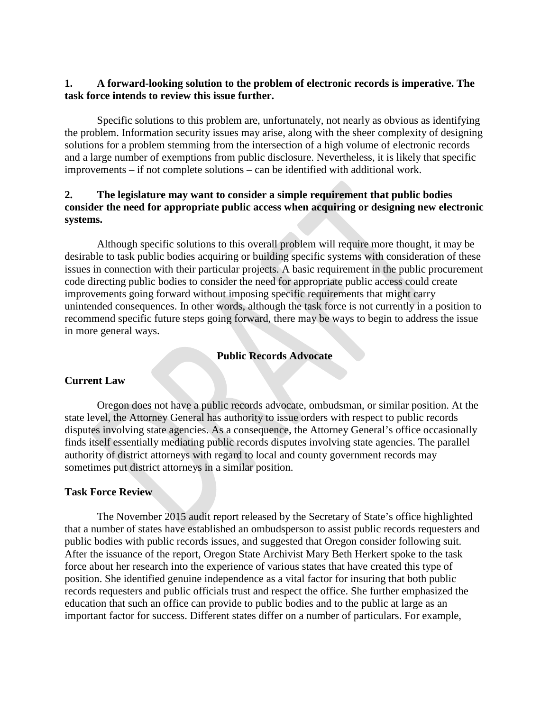# **1. A forward-looking solution to the problem of electronic records is imperative. The task force intends to review this issue further.**

Specific solutions to this problem are, unfortunately, not nearly as obvious as identifying the problem. Information security issues may arise, along with the sheer complexity of designing solutions for a problem stemming from the intersection of a high volume of electronic records and a large number of exemptions from public disclosure. Nevertheless, it is likely that specific improvements – if not complete solutions – can be identified with additional work.

# **2. The legislature may want to consider a simple requirement that public bodies consider the need for appropriate public access when acquiring or designing new electronic systems.**

Although specific solutions to this overall problem will require more thought, it may be desirable to task public bodies acquiring or building specific systems with consideration of these issues in connection with their particular projects. A basic requirement in the public procurement code directing public bodies to consider the need for appropriate public access could create improvements going forward without imposing specific requirements that might carry unintended consequences. In other words, although the task force is not currently in a position to recommend specific future steps going forward, there may be ways to begin to address the issue in more general ways.

### **Public Records Advocate**

# **Current Law**

Oregon does not have a public records advocate, ombudsman, or similar position. At the state level, the Attorney General has authority to issue orders with respect to public records disputes involving state agencies. As a consequence, the Attorney General's office occasionally finds itself essentially mediating public records disputes involving state agencies. The parallel authority of district attorneys with regard to local and county government records may sometimes put district attorneys in a similar position.

### **Task Force Review**

The November 2015 audit report released by the Secretary of State's office highlighted that a number of states have established an ombudsperson to assist public records requesters and public bodies with public records issues, and suggested that Oregon consider following suit. After the issuance of the report, Oregon State Archivist Mary Beth Herkert spoke to the task force about her research into the experience of various states that have created this type of position. She identified genuine independence as a vital factor for insuring that both public records requesters and public officials trust and respect the office. She further emphasized the education that such an office can provide to public bodies and to the public at large as an important factor for success. Different states differ on a number of particulars. For example,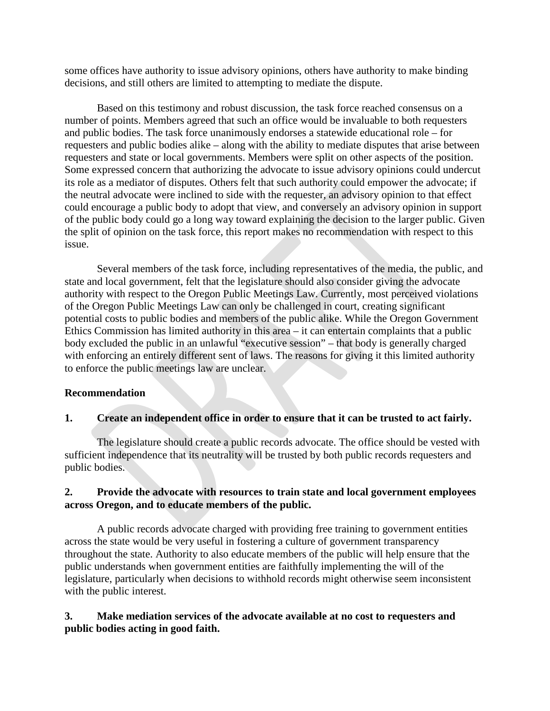some offices have authority to issue advisory opinions, others have authority to make binding decisions, and still others are limited to attempting to mediate the dispute.

Based on this testimony and robust discussion, the task force reached consensus on a number of points. Members agreed that such an office would be invaluable to both requesters and public bodies. The task force unanimously endorses a statewide educational role – for requesters and public bodies alike – along with the ability to mediate disputes that arise between requesters and state or local governments. Members were split on other aspects of the position. Some expressed concern that authorizing the advocate to issue advisory opinions could undercut its role as a mediator of disputes. Others felt that such authority could empower the advocate; if the neutral advocate were inclined to side with the requester, an advisory opinion to that effect could encourage a public body to adopt that view, and conversely an advisory opinion in support of the public body could go a long way toward explaining the decision to the larger public. Given the split of opinion on the task force, this report makes no recommendation with respect to this issue.

Several members of the task force, including representatives of the media, the public, and state and local government, felt that the legislature should also consider giving the advocate authority with respect to the Oregon Public Meetings Law. Currently, most perceived violations of the Oregon Public Meetings Law can only be challenged in court, creating significant potential costs to public bodies and members of the public alike. While the Oregon Government Ethics Commission has limited authority in this area – it can entertain complaints that a public body excluded the public in an unlawful "executive session" – that body is generally charged with enforcing an entirely different sent of laws. The reasons for giving it this limited authority to enforce the public meetings law are unclear.

### **Recommendation**

# **1. Create an independent office in order to ensure that it can be trusted to act fairly.**

The legislature should create a public records advocate. The office should be vested with sufficient independence that its neutrality will be trusted by both public records requesters and public bodies.

### **2. Provide the advocate with resources to train state and local government employees across Oregon, and to educate members of the public.**

A public records advocate charged with providing free training to government entities across the state would be very useful in fostering a culture of government transparency throughout the state. Authority to also educate members of the public will help ensure that the public understands when government entities are faithfully implementing the will of the legislature, particularly when decisions to withhold records might otherwise seem inconsistent with the public interest.

# **3. Make mediation services of the advocate available at no cost to requesters and public bodies acting in good faith.**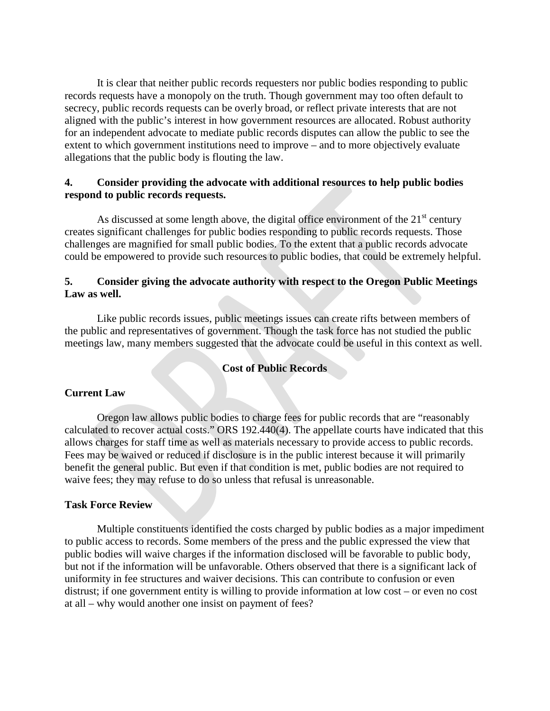It is clear that neither public records requesters nor public bodies responding to public records requests have a monopoly on the truth. Though government may too often default to secrecy, public records requests can be overly broad, or reflect private interests that are not aligned with the public's interest in how government resources are allocated. Robust authority for an independent advocate to mediate public records disputes can allow the public to see the extent to which government institutions need to improve – and to more objectively evaluate allegations that the public body is flouting the law.

### **4. Consider providing the advocate with additional resources to help public bodies respond to public records requests.**

As discussed at some length above, the digital office environment of the  $21<sup>st</sup>$  century creates significant challenges for public bodies responding to public records requests. Those challenges are magnified for small public bodies. To the extent that a public records advocate could be empowered to provide such resources to public bodies, that could be extremely helpful.

### **5. Consider giving the advocate authority with respect to the Oregon Public Meetings Law as well.**

Like public records issues, public meetings issues can create rifts between members of the public and representatives of government. Though the task force has not studied the public meetings law, many members suggested that the advocate could be useful in this context as well.

### **Cost of Public Records**

### **Current Law**

Oregon law allows public bodies to charge fees for public records that are "reasonably calculated to recover actual costs." ORS 192.440(4). The appellate courts have indicated that this allows charges for staff time as well as materials necessary to provide access to public records. Fees may be waived or reduced if disclosure is in the public interest because it will primarily benefit the general public. But even if that condition is met, public bodies are not required to waive fees; they may refuse to do so unless that refusal is unreasonable.

### **Task Force Review**

Multiple constituents identified the costs charged by public bodies as a major impediment to public access to records. Some members of the press and the public expressed the view that public bodies will waive charges if the information disclosed will be favorable to public body, but not if the information will be unfavorable. Others observed that there is a significant lack of uniformity in fee structures and waiver decisions. This can contribute to confusion or even distrust; if one government entity is willing to provide information at low cost – or even no cost at all – why would another one insist on payment of fees?